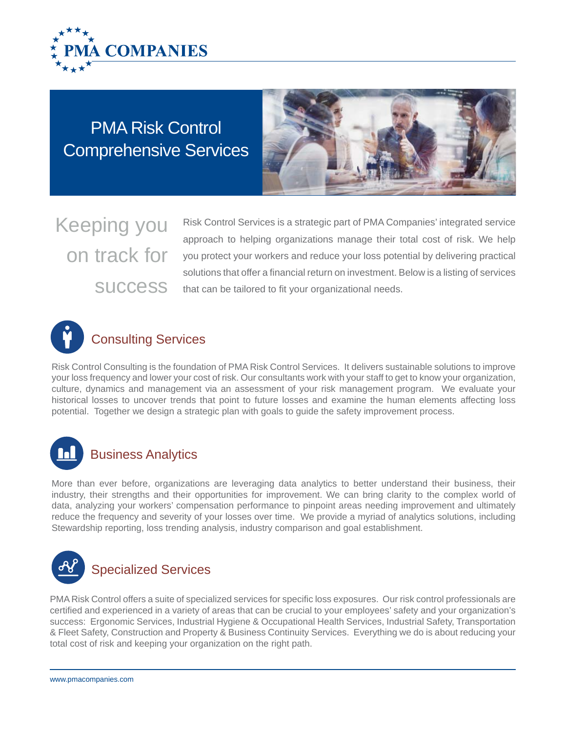

Comprehensive Services PMA Risk Control



Keeping you on track for

Risk Control Services is a strategic part of PMA Companies' integrated service approach to helping organizations manage their total cost of risk. We help you protect your workers and reduce your loss potential by delivering practical solutions that offer a financial return on investment. Below is a listing of services SUCCESS that can be tailored to fit your organizational needs.



Risk Control Consulting is the foundation of PMA Risk Control Services. It delivers sustainable solutions to improve your loss frequency and lower your cost of risk. Our consultants work with your staff to get to know your organization, culture, dynamics and management via an assessment of your risk management program. We evaluate your historical losses to uncover trends that point to future losses and examine the human elements affecting loss potential. Together we design a strategic plan with goals to guide the safety improvement process.



### Business Analytics

More than ever before, organizations are leveraging data analytics to better understand their business, their industry, their strengths and their opportunities for improvement. We can bring clarity to the complex world of data, analyzing your workers' compensation performance to pinpoint areas needing improvement and ultimately reduce the frequency and severity of your losses over time. We provide a myriad of analytics solutions, including Stewardship reporting, loss trending analysis, industry comparison and goal establishment.



PMA Risk Control offers a suite of specialized services for specific loss exposures. Our risk control professionals are certified and experienced in a variety of areas that can be crucial to your employees' safety and your organization's success: Ergonomic Services, Industrial Hygiene & Occupational Health Services, Industrial Safety, Transportation & Fleet Safety, Construction and Property & Business Continuity Services. Everything we do is about reducing your total cost of risk and keeping your organization on the right path.